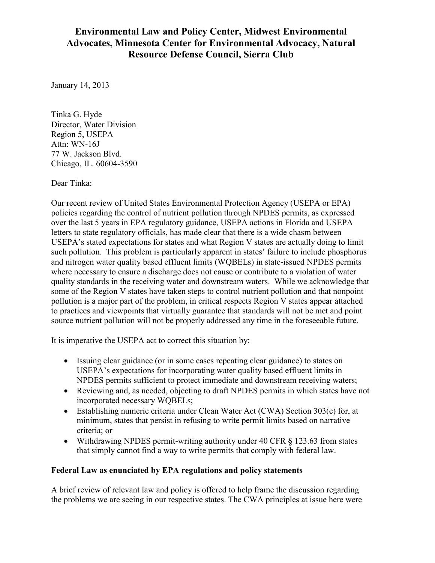# **Environmental Law and Policy Center, Midwest Environmental Advocates, Minnesota Center for Environmental Advocacy, Natural Resource Defense Council, Sierra Club**

January 14, 2013

Tinka G. Hyde Director, Water Division Region 5, USEPA Attn: WN-16J 77 W. Jackson Blvd. Chicago, IL. 60604-3590

Dear Tinka:

Our recent review of United States Environmental Protection Agency (USEPA or EPA) policies regarding the control of nutrient pollution through NPDES permits, as expressed over the last 5 years in EPA regulatory guidance, USEPA actions in Florida and USEPA letters to state regulatory officials, has made clear that there is a wide chasm between USEPA's stated expectations for states and what Region V states are actually doing to limit such pollution. This problem is particularly apparent in states' failure to include phosphorus and nitrogen water quality based effluent limits (WQBELs) in state-issued NPDES permits where necessary to ensure a discharge does not cause or contribute to a violation of water quality standards in the receiving water and downstream waters. While we acknowledge that some of the Region V states have taken steps to control nutrient pollution and that nonpoint pollution is a major part of the problem, in critical respects Region V states appear attached to practices and viewpoints that virtually guarantee that standards will not be met and point source nutrient pollution will not be properly addressed any time in the foreseeable future.

It is imperative the USEPA act to correct this situation by:

- Issuing clear guidance (or in some cases repeating clear guidance) to states on USEPA's expectations for incorporating water quality based effluent limits in NPDES permits sufficient to protect immediate and downstream receiving waters;
- Reviewing and, as needed, objecting to draft NPDES permits in which states have not incorporated necessary WQBELs;
- Establishing numeric criteria under Clean Water Act (CWA) Section  $303(c)$  for, at minimum, states that persist in refusing to write permit limits based on narrative criteria; or
- x Withdrawing NPDES permit-writing authority under 40 CFR **§** 123.63 from states that simply cannot find a way to write permits that comply with federal law.

### **Federal Law as enunciated by EPA regulations and policy statements**

A brief review of relevant law and policy is offered to help frame the discussion regarding the problems we are seeing in our respective states. The CWA principles at issue here were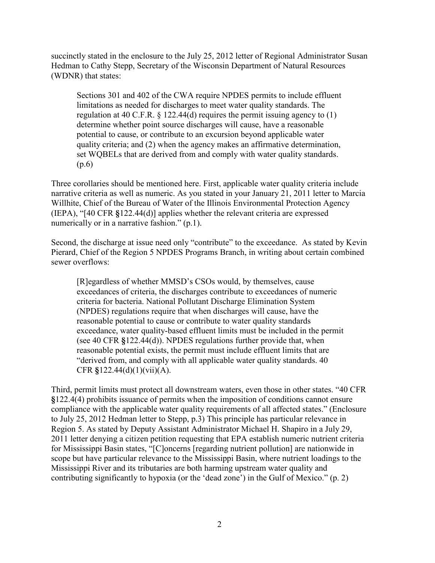succinctly stated in the enclosure to the July 25, 2012 letter of Regional Administrator Susan Hedman to Cathy Stepp, Secretary of the Wisconsin Department of Natural Resources (WDNR) that states:

Sections 301 and 402 of the CWA require NPDES permits to include effluent limitations as needed for discharges to meet water quality standards. The regulation at 40 C.F.R.  $\S$  122.44(d) requires the permit issuing agency to (1) determine whether point source discharges will cause, have a reasonable potential to cause, or contribute to an excursion beyond applicable water quality criteria; and (2) when the agency makes an affirmative determination, set WQBELs that are derived from and comply with water quality standards. (p.6)

Three corollaries should be mentioned here. First, applicable water quality criteria include narrative criteria as well as numeric. As you stated in your January 21, 2011 letter to Marcia Willhite, Chief of the Bureau of Water of the Illinois Environmental Protection Agency (IEPA), "[40 CFR **§**122.44(d)] applies whether the relevant criteria are expressed numerically or in a narrative fashion." (p.1).

Second, the discharge at issue need only "contribute" to the exceedance. As stated by Kevin Pierard, Chief of the Region 5 NPDES Programs Branch, in writing about certain combined sewer overflows:

[R]egardless of whether MMSD's CSOs would, by themselves, cause exceedances of criteria, the discharges contribute to exceedances of numeric criteria for bacteria. National Pollutant Discharge Elimination System (NPDES) regulations require that when discharges will cause, have the reasonable potential to cause or contribute to water quality standards exceedance, water quality-based effluent limits must be included in the permit (see 40 CFR **§**122.44(d)). NPDES regulations further provide that, when reasonable potential exists, the permit must include effluent limits that are "derived from, and comply with all applicable water quality standards. 40 CFR **§**122.44(d)(1)(vii)(A).

Third, permit limits must protect all downstream waters, even those in other states. "40 CFR **§**122.4(4) prohibits issuance of permits when the imposition of conditions cannot ensure compliance with the applicable water quality requirements of all affected states." (Enclosure to July 25, 2012 Hedman letter to Stepp, p.3) This principle has particular relevance in Region 5. As stated by Deputy Assistant Administrator Michael H. Shapiro in a July 29, 2011 letter denying a citizen petition requesting that EPA establish numeric nutrient criteria for Mississippi Basin states, "[C]oncerns [regarding nutrient pollution] are nationwide in scope but have particular relevance to the Mississippi Basin, where nutrient loadings to the Mississippi River and its tributaries are both harming upstream water quality and contributing significantly to hypoxia (or the 'dead zone') in the Gulf of Mexico." (p. 2)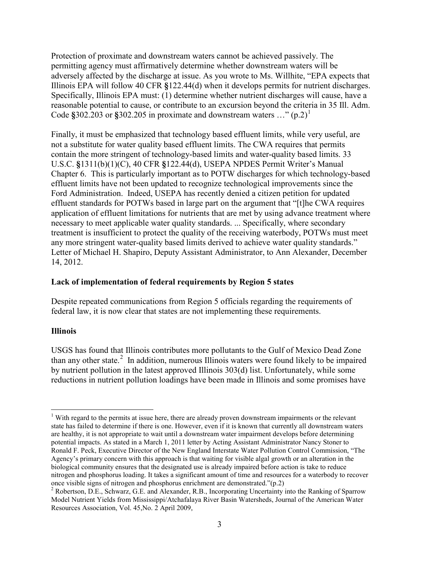Protection of proximate and downstream waters cannot be achieved passively. The permitting agency must affirmatively determine whether downstream waters will be adversely affected by the discharge at issue. As you wrote to Ms. Willhite, "EPA expects that Illinois EPA will follow 40 CFR **§**122.44(d) when it develops permits for nutrient discharges. Specifically, Illinois EPA must: (1) determine whether nutrient discharges will cause, have a reasonable potential to cause, or contribute to an excursion beyond the criteria in 35 Ill. Adm. Code  $$302.203$  or  $$302.205$  in proximate and downstream waters ..."  $(p.2)^1$ 

Finally, it must be emphasized that technology based effluent limits, while very useful, are not a substitute for water quality based effluent limits. The CWA requires that permits contain the more stringent of technology-based limits and water-quality based limits. 33 U.S.C. **§**1311(b)(1)(C), 40 CFR **§**122.44(d), USEPA NPDES Permit Writer's Manual Chapter 6. This is particularly important as to POTW discharges for which technology-based effluent limits have not been updated to recognize technological improvements since the Ford Administration. Indeed, USEPA has recently denied a citizen petition for updated effluent standards for POTWs based in large part on the argument that "[t]he CWA requires application of effluent limitations for nutrients that are met by using advance treatment where necessary to meet applicable water quality standards. ... Specifically, where secondary treatment is insufficient to protect the quality of the receiving waterbody, POTWs must meet any more stringent water-quality based limits derived to achieve water quality standards." Letter of Michael H. Shapiro, Deputy Assistant Administrator, to Ann Alexander, December 14, 2012.

#### **Lack of implementation of federal requirements by Region 5 states**

Despite repeated communications from Region 5 officials regarding the requirements of federal law, it is now clear that states are not implementing these requirements.

#### **Illinois**

USGS has found that Illinois contributes more pollutants to the Gulf of Mexico Dead Zone than any other state.<sup>2</sup> In addition, numerous Illinois waters were found likely to be impaired by nutrient pollution in the latest approved Illinois 303(d) list. Unfortunately, while some reductions in nutrient pollution loadings have been made in Illinois and some promises have

<sup>&</sup>lt;sup>1</sup> With regard to the permits at issue here, there are already proven downstream impairments or the relevant state has failed to determine if there is one. However, even if it is known that currently all downstream waters are healthy, it is not appropriate to wait until a downstream water impairment develops before determining potential impacts. As stated in a March 1, 2011 letter by Acting Assistant Administrator Nancy Stoner to Ronald F. Peck, Executive Director of the New England Interstate Water Pollution Control Commission, "The Agency's primary concern with this approach is that waiting for visible algal growth or an alteration in the biological community ensures that the designated use is already impaired before action is take to reduce nitrogen and phosphorus loading. It takes a significant amount of time and resources for a waterbody to recover once visible signs of nitrogen and phosphorus enrichment are demonstrated."(p.2)

<sup>&</sup>lt;sup>2</sup> Robertson, D.E., Schwarz, G.E. and Alexander, R.B., Incorporating Uncertainty into the Ranking of Sparrow Model Nutrient Yields from Mississippi/Atchafalaya River Basin Watersheds, Journal of the American Water Resources Association, Vol. 45,No. 2 April 2009,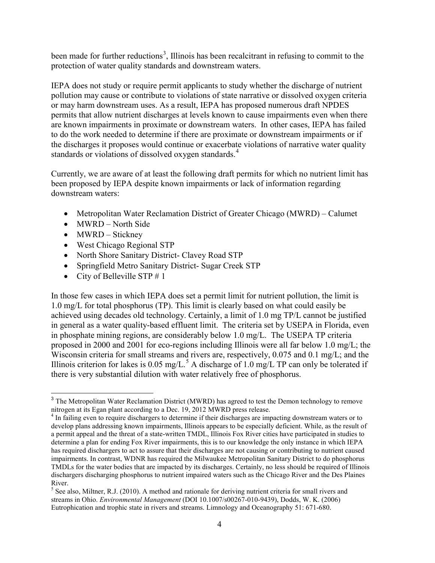been made for further reductions<sup>3</sup>, Illinois has been recalcitrant in refusing to commit to the protection of water quality standards and downstream waters.

IEPA does not study or require permit applicants to study whether the discharge of nutrient pollution may cause or contribute to violations of state narrative or dissolved oxygen criteria or may harm downstream uses. As a result, IEPA has proposed numerous draft NPDES permits that allow nutrient discharges at levels known to cause impairments even when there are known impairments in proximate or downstream waters. In other cases, IEPA has failed to do the work needed to determine if there are proximate or downstream impairments or if the discharges it proposes would continue or exacerbate violations of narrative water quality standards or violations of dissolved oxygen standards.<sup>4</sup>

Currently, we are aware of at least the following draft permits for which no nutrient limit has been proposed by IEPA despite known impairments or lack of information regarding downstream waters:

- Metropolitan Water Reclamation District of Greater Chicago (MWRD) Calumet
- $\bullet$  MWRD North Side
- $\bullet$  MWRD Stickney
- West Chicago Regional STP
- North Shore Sanitary District- Clavey Road STP
- Springfield Metro Sanitary District- Sugar Creek STP
- City of Belleville STP  $# 1$

In those few cases in which IEPA does set a permit limit for nutrient pollution, the limit is 1.0 mg/L for total phosphorus (TP). This limit is clearly based on what could easily be achieved using decades old technology. Certainly, a limit of 1.0 mg TP/L cannot be justified in general as a water quality-based effluent limit. The criteria set by USEPA in Florida, even in phosphate mining regions, are considerably below 1.0 mg/L. The USEPA TP criteria proposed in 2000 and 2001 for eco-regions including Illinois were all far below 1.0 mg/L; the Wisconsin criteria for small streams and rivers are, respectively, 0.075 and 0.1 mg/L; and the Illinois criterion for lakes is 0.05 mg/L.<sup>5</sup> A discharge of 1.0 mg/L TP can only be tolerated if there is very substantial dilution with water relatively free of phosphorus.

<sup>&</sup>lt;sup>3</sup> The Metropolitan Water Reclamation District (MWRD) has agreed to test the Demon technology to remove nitrogen at its Egan plant according to a Dec. 19, 2012 MWRD press release.

<sup>&</sup>lt;sup>4</sup> In failing even to require dischargers to determine if their discharges are impacting downstream waters or to develop plans addressing known impairments, Illinois appears to be especially deficient. While, as the result of a permit appeal and the threat of a state-written TMDL, Illinois Fox River cities have participated in studies to determine a plan for ending Fox River impairments, this is to our knowledge the only instance in which IEPA has required dischargers to act to assure that their discharges are not causing or contributing to nutrient caused impairments. In contrast, WDNR has required the Milwaukee Metropolitan Sanitary District to do phosphorus TMDLs for the water bodies that are impacted by its discharges. Certainly, no less should be required of Illinois dischargers discharging phosphorus to nutrient impaired waters such as the Chicago River and the Des Plaines River.

 $<sup>5</sup>$  See also, Miltner, R.J. (2010). A method and rationale for deriving nutrient criteria for small rivers and</sup> streams in Ohio. *Environmental Management* (DOI 10.1007/s00267-010-9439), Dodds, W. K. (2006) Eutrophication and trophic state in rivers and streams. Limnology and Oceanography 51: 671-680.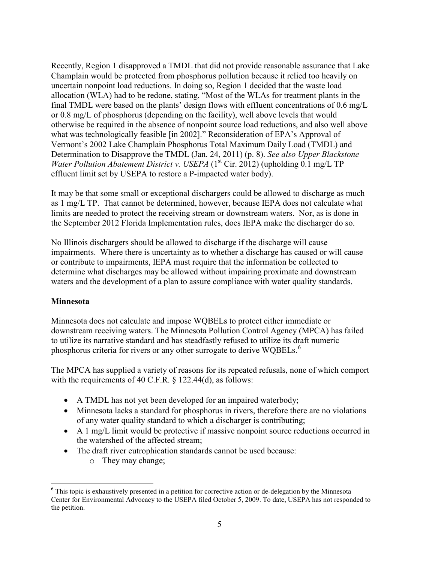Recently, Region 1 disapproved a TMDL that did not provide reasonable assurance that Lake Champlain would be protected from phosphorus pollution because it relied too heavily on uncertain nonpoint load reductions. In doing so, Region 1 decided that the waste load allocation (WLA) had to be redone, stating, "Most of the WLAs for treatment plants in the final TMDL were based on the plants' design flows with effluent concentrations of 0.6 mg/L or 0.8 mg/L of phosphorus (depending on the facility), well above levels that would otherwise be required in the absence of nonpoint source load reductions, and also well above what was technologically feasible [in 2002]." Reconsideration of EPA's Approval of Vermont's 2002 Lake Champlain Phosphorus Total Maximum Daily Load (TMDL) and Determination to Disapprove the TMDL (Jan. 24, 2011) (p. 8). *See also Upper Blackstone Water Pollution Abatement District v. USEPA* (1<sup>st</sup> Cir. 2012) (upholding 0.1 mg/L TP effluent limit set by USEPA to restore a P-impacted water body).

It may be that some small or exceptional dischargers could be allowed to discharge as much as 1 mg/L TP. That cannot be determined, however, because IEPA does not calculate what limits are needed to protect the receiving stream or downstream waters. Nor, as is done in the September 2012 Florida Implementation rules, does IEPA make the discharger do so.

No Illinois dischargers should be allowed to discharge if the discharge will cause impairments. Where there is uncertainty as to whether a discharge has caused or will cause or contribute to impairments, IEPA must require that the information be collected to determine what discharges may be allowed without impairing proximate and downstream waters and the development of a plan to assure compliance with water quality standards.

### **Minnesota**

Minnesota does not calculate and impose WQBELs to protect either immediate or downstream receiving waters. The Minnesota Pollution Control Agency (MPCA) has failed to utilize its narrative standard and has steadfastly refused to utilize its draft numeric phosphorus criteria for rivers or any other surrogate to derive WQBELs.<sup>6</sup>

The MPCA has supplied a variety of reasons for its repeated refusals, none of which comport with the requirements of 40 C.F.R. § 122.44(d), as follows:

- A TMDL has not yet been developed for an impaired waterbody;
- Minnesota lacks a standard for phosphorus in rivers, therefore there are no violations of any water quality standard to which a discharger is contributing;
- $\bullet$  A 1 mg/L limit would be protective if massive nonpoint source reductions occurred in the watershed of the affected stream;
- The draft river eutrophication standards cannot be used because:
	- o They may change;

 <sup>6</sup> This topic is exhaustively presented in a petition for corrective action or de-delegation by the Minnesota Center for Environmental Advocacy to the USEPA filed October 5, 2009. To date, USEPA has not responded to the petition.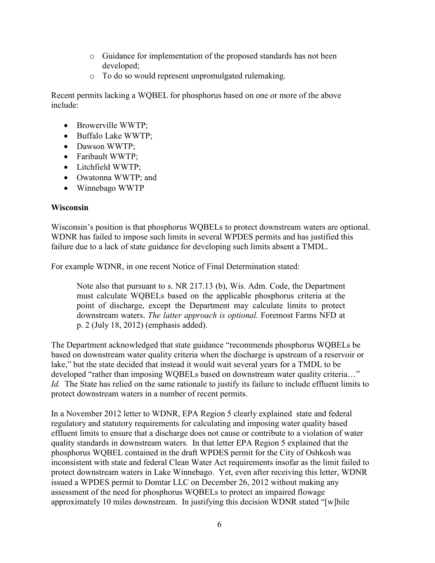- o Guidance for implementation of the proposed standards has not been developed;
- o To do so would represent unpromulgated rulemaking.

Recent permits lacking a WQBEL for phosphorus based on one or more of the above include:

- $\bullet$  Browerville WWTP;
- Buffalo Lake WWTP;
- Dawson WWTP;
- Faribault WWTP;
- $\bullet$  Litchfield WWTP;
- Owatonna WWTP; and
- $\bullet$  Winnebago WWTP

### **Wisconsin**

Wisconsin's position is that phosphorus WQBELs to protect downstream waters are optional. WDNR has failed to impose such limits in several WPDES permits and has justified this failure due to a lack of state guidance for developing such limits absent a TMDL.

For example WDNR, in one recent Notice of Final Determination stated:

Note also that pursuant to s. NR 217.13 (b), Wis. Adm. Code, the Department must calculate WQBELs based on the applicable phosphorus criteria at the point of discharge, except the Department may calculate limits to protect downstream waters. *The latter approach is optional.* Foremost Farms NFD at p. 2 (July 18, 2012) (emphasis added).

The Department acknowledged that state guidance "recommends phosphorus WQBELs be based on downstream water quality criteria when the discharge is upstream of a reservoir or lake," but the state decided that instead it would wait several years for a TMDL to be developed "rather than imposing WQBELs based on downstream water quality criteria…" *Id.* The State has relied on the same rationale to justify its failure to include effluent limits to protect downstream waters in a number of recent permits.

In a November 2012 letter to WDNR, EPA Region 5 clearly explained state and federal regulatory and statutory requirements for calculating and imposing water quality based effluent limits to ensure that a discharge does not cause or contribute to a violation of water quality standards in downstream waters. In that letter EPA Region 5 explained that the phosphorus WQBEL contained in the draft WPDES permit for the City of Oshkosh was inconsistent with state and federal Clean Water Act requirements insofar as the limit failed to protect downstream waters in Lake Winnebago. Yet, even after receiving this letter, WDNR issued a WPDES permit to Domtar LLC on December 26, 2012 without making any assessment of the need for phosphorus WQBELs to protect an impaired flowage approximately 10 miles downstream. In justifying this decision WDNR stated "[w]hile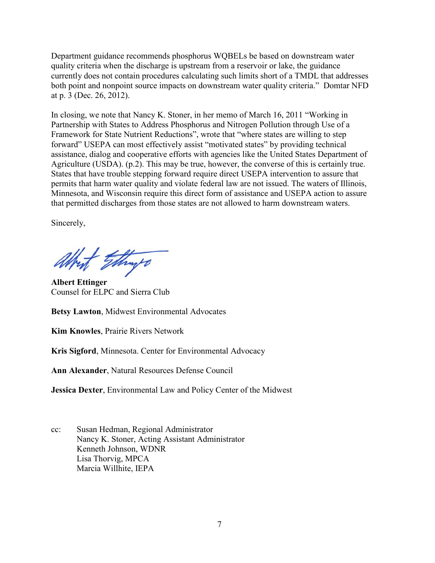Department guidance recommends phosphorus WQBELs be based on downstream water quality criteria when the discharge is upstream from a reservoir or lake, the guidance currently does not contain procedures calculating such limits short of a TMDL that addresses both point and nonpoint source impacts on downstream water quality criteria." Domtar NFD at p. 3 (Dec. 26, 2012).

In closing, we note that Nancy K. Stoner, in her memo of March 16, 2011 "Working in Partnership with States to Address Phosphorus and Nitrogen Pollution through Use of a Framework for State Nutrient Reductions", wrote that "where states are willing to step forward" USEPA can most effectively assist "motivated states" by providing technical assistance, dialog and cooperative efforts with agencies like the United States Department of Agriculture (USDA). (p.2). This may be true, however, the converse of this is certainly true. States that have trouble stepping forward require direct USEPA intervention to assure that permits that harm water quality and violate federal law are not issued. The waters of Illinois, Minnesota, and Wisconsin require this direct form of assistance and USEPA action to assure that permitted discharges from those states are not allowed to harm downstream waters.

Sincerely,

Attract Ethings

**Albert Ettinger** Counsel for ELPC and Sierra Club

**Betsy Lawton**, Midwest Environmental Advocates

**Kim Knowles**, Prairie Rivers Network

**Kris Sigford**, Minnesota. Center for Environmental Advocacy

**Ann Alexander**, Natural Resources Defense Council

**Jessica Dexter**, Environmental Law and Policy Center of the Midwest

cc: Susan Hedman, Regional Administrator Nancy K. Stoner, Acting Assistant Administrator Kenneth Johnson, WDNR Lisa Thorvig, MPCA Marcia Willhite, IEPA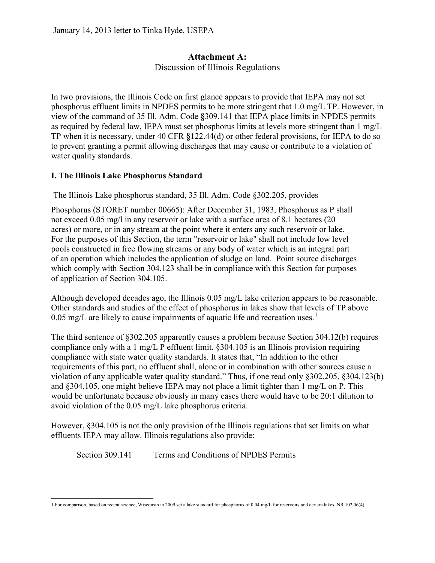## **Attachment A:** Discussion of Illinois Regulations

In two provisions, the Illinois Code on first glance appears to provide that IEPA may not set phosphorus effluent limits in NPDES permits to be more stringent that 1.0 mg/L TP. However, in view of the command of 35 Ill. Adm. Code **§**309.141 that IEPA place limits in NPDES permits as required by federal law, IEPA must set phosphorus limits at levels more stringent than 1 mg/L TP when it is necessary, under 40 CFR **§1**22.44(d) or other federal provisions, for IEPA to do so to prevent granting a permit allowing discharges that may cause or contribute to a violation of water quality standards.

## **I. The Illinois Lake Phosphorus Standard**

The Illinois Lake phosphorus standard, 35 Ill. Adm. Code §302.205, provides

Phosphorus (STORET number 00665): After December 31, 1983, Phosphorus as P shall not exceed 0.05 mg/l in any reservoir or lake with a surface area of 8.1 hectares (20 acres) or more, or in any stream at the point where it enters any such reservoir or lake. For the purposes of this Section, the term "reservoir or lake" shall not include low level pools constructed in free flowing streams or any body of water which is an integral part of an operation which includes the application of sludge on land. Point source discharges which comply with Section 304.123 shall be in compliance with this Section for purposes of application of Section 304.105.

Although developed decades ago, the Illinois 0.05 mg/L lake criterion appears to be reasonable. Other standards and studies of the effect of phosphorus in lakes show that levels of TP above 0.05 mg/L are likely to cause impairments of aquatic life and recreation uses.<sup>1</sup>

The third sentence of §302.205 apparently causes a problem because Section 304.12(b) requires compliance only with a 1 mg/L P effluent limit. §304.105 is an Illinois provision requiring compliance with state water quality standards. It states that, "In addition to the other requirements of this part, no effluent shall, alone or in combination with other sources cause a violation of any applicable water quality standard." Thus, if one read only §302.205, §304.123(b) and §304.105, one might believe IEPA may not place a limit tighter than 1 mg/L on P. This would be unfortunate because obviously in many cases there would have to be 20:1 dilution to avoid violation of the 0.05 mg/L lake phosphorus criteria.

However, §304.105 is not the only provision of the Illinois regulations that set limits on what effluents IEPA may allow. Illinois regulations also provide:

Section 309.141 Terms and Conditions of NPDES Permits

 <sup>1</sup> For comparison, based on recent science, Wisconsin in 2009 set a lake standard for phosphorus of 0.04 mg/L for reservoirs and certain lakes. NR 102.06(4).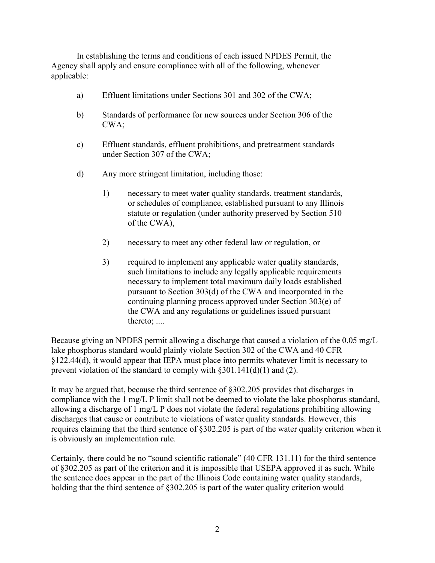In establishing the terms and conditions of each issued NPDES Permit, the Agency shall apply and ensure compliance with all of the following, whenever applicable:

- a) Effluent limitations under Sections 301 and 302 of the CWA;
- b) Standards of performance for new sources under Section 306 of the CWA;
- c) Effluent standards, effluent prohibitions, and pretreatment standards under Section 307 of the CWA;
- d) Any more stringent limitation, including those:
	- 1) necessary to meet water quality standards, treatment standards, or schedules of compliance, established pursuant to any Illinois statute or regulation (under authority preserved by Section 510 of the CWA),
	- 2) necessary to meet any other federal law or regulation, or
	- 3) required to implement any applicable water quality standards, such limitations to include any legally applicable requirements necessary to implement total maximum daily loads established pursuant to Section 303(d) of the CWA and incorporated in the continuing planning process approved under Section 303(e) of the CWA and any regulations or guidelines issued pursuant thereto; ....

Because giving an NPDES permit allowing a discharge that caused a violation of the 0.05 mg/L lake phosphorus standard would plainly violate Section 302 of the CWA and 40 CFR §122.44(d), it would appear that IEPA must place into permits whatever limit is necessary to prevent violation of the standard to comply with §301.141(d)(1) and (2).

It may be argued that, because the third sentence of §302.205 provides that discharges in compliance with the 1 mg/L P limit shall not be deemed to violate the lake phosphorus standard, allowing a discharge of 1 mg/L P does not violate the federal regulations prohibiting allowing discharges that cause or contribute to violations of water quality standards. However, this requires claiming that the third sentence of §302.205 is part of the water quality criterion when it is obviously an implementation rule.

Certainly, there could be no "sound scientific rationale" (40 CFR 131.11) for the third sentence of §302.205 as part of the criterion and it is impossible that USEPA approved it as such. While the sentence does appear in the part of the Illinois Code containing water quality standards, holding that the third sentence of §302.205 is part of the water quality criterion would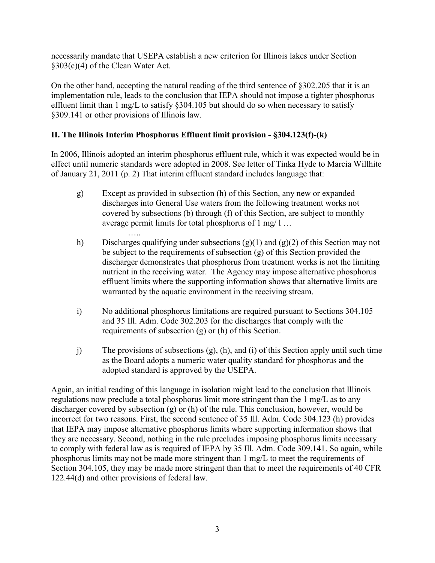necessarily mandate that USEPA establish a new criterion for Illinois lakes under Section §303(c)(4) of the Clean Water Act.

On the other hand, accepting the natural reading of the third sentence of §302.205 that it is an implementation rule, leads to the conclusion that IEPA should not impose a tighter phosphorus effluent limit than 1 mg/L to satisfy §304.105 but should do so when necessary to satisfy §309.141 or other provisions of Illinois law.

## **II. The Illinois Interim Phosphorus Effluent limit provision - §304.123(f)-(k)**

In 2006, Illinois adopted an interim phosphorus effluent rule, which it was expected would be in effect until numeric standards were adopted in 2008. See letter of Tinka Hyde to Marcia Willhite of January 21, 2011 (p. 2) That interim effluent standard includes language that:

- g) Except as provided in subsection (h) of this Section, any new or expanded discharges into General Use waters from the following treatment works not covered by subsections (b) through (f) of this Section, are subject to monthly average permit limits for total phosphorus of 1 mg/ l …
- ….. h) Discharges qualifying under subsections (g)(1) and (g)(2) of this Section may not be subject to the requirements of subsection (g) of this Section provided the discharger demonstrates that phosphorus from treatment works is not the limiting nutrient in the receiving water. The Agency may impose alternative phosphorus effluent limits where the supporting information shows that alternative limits are warranted by the aquatic environment in the receiving stream.
- i) No additional phosphorus limitations are required pursuant to Sections 304.105 and 35 Ill. Adm. Code 302.203 for the discharges that comply with the requirements of subsection (g) or (h) of this Section.
- j) The provisions of subsections (g), (h), and (i) of this Section apply until such time as the Board adopts a numeric water quality standard for phosphorus and the adopted standard is approved by the USEPA.

Again, an initial reading of this language in isolation might lead to the conclusion that Illinois regulations now preclude a total phosphorus limit more stringent than the 1 mg/L as to any discharger covered by subsection (g) or (h) of the rule. This conclusion, however, would be incorrect for two reasons. First, the second sentence of 35 Ill. Adm. Code 304.123 (h) provides that IEPA may impose alternative phosphorus limits where supporting information shows that they are necessary. Second, nothing in the rule precludes imposing phosphorus limits necessary to comply with federal law as is required of IEPA by 35 Ill. Adm. Code 309.141. So again, while phosphorus limits may not be made more stringent than 1 mg/L to meet the requirements of Section 304.105, they may be made more stringent than that to meet the requirements of 40 CFR 122.44(d) and other provisions of federal law.